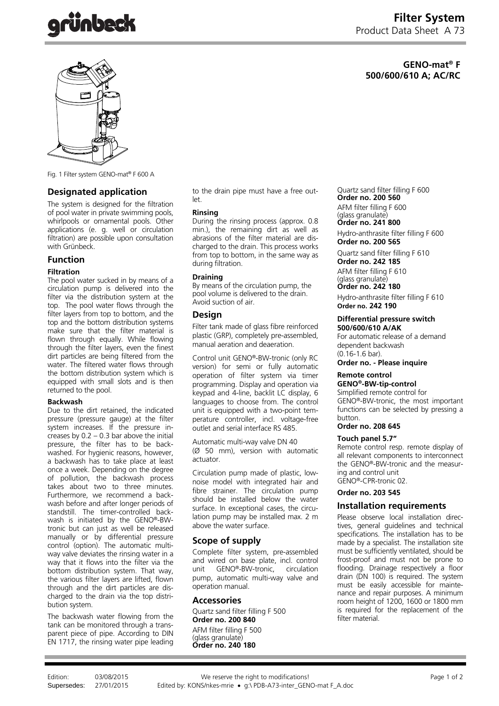# Nbec

# **GENO-mat® F 500/600/610 A; AC/RC**



Fig. 1 Filter system GENO-mat® F 600 A

# **Designated application**

The system is designed for the filtration of pool water in private swimming pools, whirlpools or ornamental pools. Other applications (e. g. well or circulation filtration) are possible upon consultation with Grünbeck

## **Function**

#### **Filtration**

The pool water sucked in by means of a circulation pump is delivered into the filter via the distribution system at the top. The pool water flows through the filter layers from top to bottom, and the top and the bottom distribution systems make sure that the filter material is flown through equally. While flowing through the filter layers, even the finest dirt particles are being filtered from the water. The filtered water flows through the bottom distribution system which is equipped with small slots and is then returned to the pool.

#### **Backwash**

Due to the dirt retained, the indicated pressure (pressure gauge) at the filter system increases. If the pressure increases by  $0.2 - 0.3$  bar above the initial pressure, the filter has to be backwashed. For hygienic reasons, however, a backwash has to take place at least once a week. Depending on the degree of pollution, the backwash process takes about two to three minutes. Furthermore, we recommend a backwash before and after longer periods of standstill. The timer-controlled backwash is initiated by the GENO®-BWtronic but can just as well be released manually or by differential pressure control (option). The automatic multiway valve deviates the rinsing water in a way that it flows into the filter via the bottom distribution system. That way, the various filter layers are lifted, flown through and the dirt particles are discharged to the drain via the top distribution system.

The backwash water flowing from the tank can be monitored through a transparent piece of pipe. According to DIN EN 1717, the rinsing water pipe leading

to the drain pipe must have a free outlet.

#### **Rinsing**

During the rinsing process (approx. 0.8 min.), the remaining dirt as well as abrasions of the filter material are discharged to the drain. This process works from top to bottom, in the same way as during filtration.

#### **Draining**

By means of the circulation pump, the pool volume is delivered to the drain. Avoid suction of air.

#### **Design**

Filter tank made of glass fibre reinforced plastic (GRP), completely pre-assembled, manual aeration and deaeration.

Control unit GENO®-BW-tronic (only RC version) for semi or fully automatic operation of filter system via timer programming. Display and operation via keypad and 4-line, backlit LC display, 6 languages to choose from. The control unit is equipped with a two-point temperature controller, incl. voltage-free outlet and serial interface RS 485.

Automatic multi-way valve DN 40 (Ø 50 mm), version with automatic actuator.

Circulation pump made of plastic, lownoise model with integrated hair and fibre strainer. The circulation pump should be installed below the water surface. In exceptional cases, the circulation pump may be installed max. 2 m above the water surface.

## **Scope of supply**

Complete filter system, pre-assembled and wired on base plate, incl. control unit GENO®-BW-tronic, circulation pump, automatic multi-way valve and operation manual.

#### **Accessories**

Quartz sand filter filling F 500 **Order no. 200 840** 

AFM filter filling F 500 (glass granulate) **Order no. 240 180** 

Quartz sand filter filling F 600 **Order no. 200 560**  AFM filter filling F 600 (glass granulate)

**Order no. 241 800**  Hydro-anthrasite filter filling F 600 **Order no. 200 565** 

Quartz sand filter filling F 610 **Order no. 242 185** 

AFM filter filling F 610 (glass granulate) **Order no. 242 180** 

Hydro-anthrasite filter filling F 610 **Order no. 242 190** 

# **Differential pressure switch**

**500/600/610 A/AK**  For automatic release of a demand dependent backwash (0.16-1.6 bar).

#### **Order no. - Please inquire**

#### **Remote control GENO®-BW-tip-control**

Simplified remote control for GENO®-BW-tronic, the most important functions can be selected by pressing a

button. **Order no. 208 645**

#### **Touch panel 5.7"**

Remote control resp. remote display of all relevant components to interconnect the GENO®-BW-tronic and the measuring and control unit GENO®-CPR-tronic 02.

**Order no. 203 545**

#### **Installation requirements**

Please observe local installation directives, general guidelines and technical specifications. The installation has to be made by a specialist. The installation site must be sufficiently ventilated, should be frost-proof and must not be prone to flooding. Drainage respectively a floor drain (DN 100) is required. The system must be easily accessible for maintenance and repair purposes. A minimum room height of 1200, 1600 or 1800 mm is required for the replacement of the filter material.